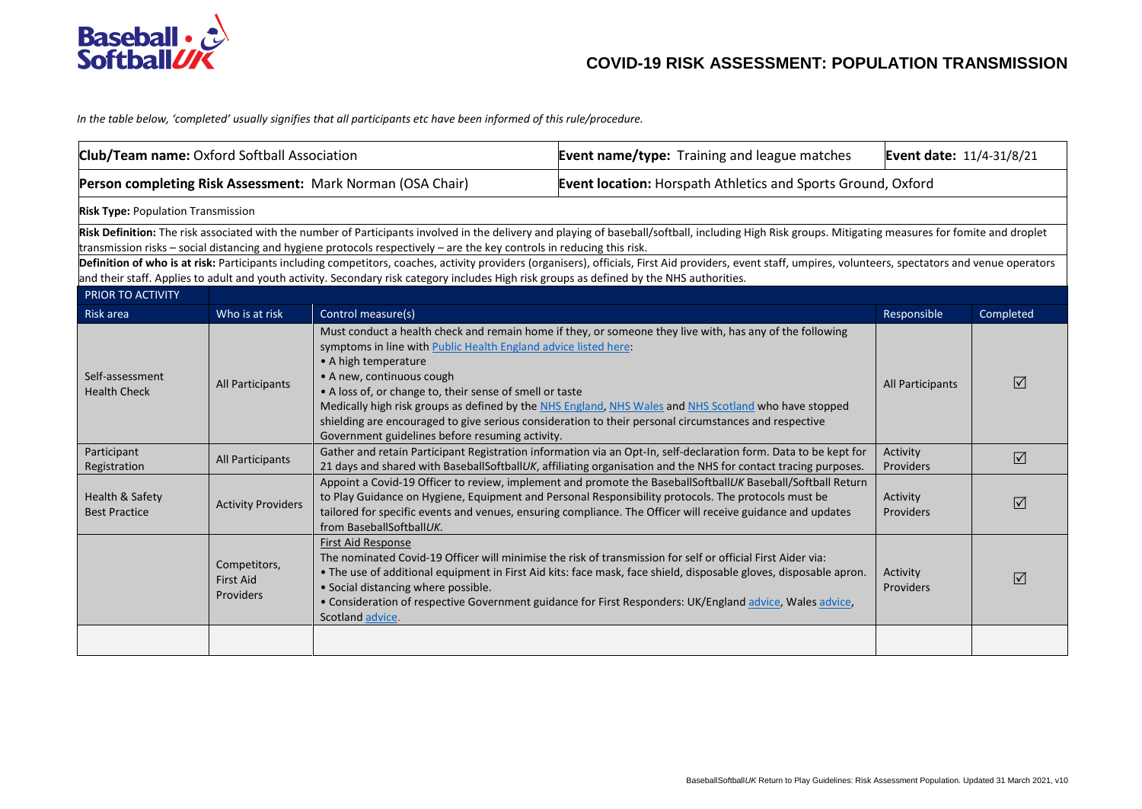

*In the table below, 'completed' usually signifies that all participants etc have been informed of this rule/procedure.* 

| Club/Team name: Oxford Softball Association                |                                               |                                                                                                                                                                                                                                                                       | <b>Event name/type:</b> Training and league matches                                                                                                                                                                                                                                                                                                                                                                    | Event date: 11/4-31/8/21 |                 |
|------------------------------------------------------------|-----------------------------------------------|-----------------------------------------------------------------------------------------------------------------------------------------------------------------------------------------------------------------------------------------------------------------------|------------------------------------------------------------------------------------------------------------------------------------------------------------------------------------------------------------------------------------------------------------------------------------------------------------------------------------------------------------------------------------------------------------------------|--------------------------|-----------------|
| Person completing Risk Assessment: Mark Norman (OSA Chair) |                                               |                                                                                                                                                                                                                                                                       | <b>Event location:</b> Horspath Athletics and Sports Ground, Oxford                                                                                                                                                                                                                                                                                                                                                    |                          |                 |
| <b>Risk Type: Population Transmission</b>                  |                                               |                                                                                                                                                                                                                                                                       |                                                                                                                                                                                                                                                                                                                                                                                                                        |                          |                 |
|                                                            |                                               | transmission risks - social distancing and hygiene protocols respectively - are the key controls in reducing this risk.<br>and their staff. Applies to adult and youth activity. Secondary risk category includes High risk groups as defined by the NHS authorities. | Risk Definition: The risk associated with the number of Participants involved in the delivery and playing of baseball/softball, including High Risk groups. Mitigating measures for fomite and droplet<br>Definition of who is at risk: Participants including competitors, coaches, activity providers (organisers), officials, First Aid providers, event staff, umpires, volunteers, spectators and venue operators |                          |                 |
| PRIOR TO ACTIVITY                                          |                                               |                                                                                                                                                                                                                                                                       |                                                                                                                                                                                                                                                                                                                                                                                                                        |                          |                 |
| Risk area                                                  | Who is at risk                                | Control measure(s)                                                                                                                                                                                                                                                    |                                                                                                                                                                                                                                                                                                                                                                                                                        | Responsible              | Completed       |
| Self-assessment<br><b>Health Check</b>                     | All Participants                              | symptoms in line with Public Health England advice listed here:<br>• A high temperature<br>• A new, continuous cough<br>• A loss of, or change to, their sense of smell or taste<br>Government guidelines before resuming activity.                                   | Must conduct a health check and remain home if they, or someone they live with, has any of the following<br>Medically high risk groups as defined by the NHS England, NHS Wales and NHS Scotland who have stopped<br>shielding are encouraged to give serious consideration to their personal circumstances and respective                                                                                             | All Participants         | ⊠               |
| Participant<br>Registration                                | All Participants                              |                                                                                                                                                                                                                                                                       | Gather and retain Participant Registration information via an Opt-In, self-declaration form. Data to be kept for<br>21 days and shared with BaseballSoftballUK, affiliating organisation and the NHS for contact tracing purposes.                                                                                                                                                                                     | Activity<br>Providers    | $\sqrt{ }$      |
| Health & Safety<br><b>Best Practice</b>                    | <b>Activity Providers</b>                     | from BaseballSoftballUK.                                                                                                                                                                                                                                              | Appoint a Covid-19 Officer to review, implement and promote the BaseballSoftballUK Baseball/Softball Return<br>to Play Guidance on Hygiene, Equipment and Personal Responsibility protocols. The protocols must be<br>tailored for specific events and venues, ensuring compliance. The Officer will receive guidance and updates                                                                                      | Activity<br>Providers    | $\triangledown$ |
|                                                            | Competitors,<br><b>First Aid</b><br>Providers | <b>First Aid Response</b><br>• Social distancing where possible.<br>Scotland advice.                                                                                                                                                                                  | The nominated Covid-19 Officer will minimise the risk of transmission for self or official First Aider via:<br>. The use of additional equipment in First Aid kits: face mask, face shield, disposable gloves, disposable apron.<br>. Consideration of respective Government guidance for First Responders: UK/England advice, Wales advice,                                                                           | Activity<br>Providers    | $\triangledown$ |
|                                                            |                                               |                                                                                                                                                                                                                                                                       |                                                                                                                                                                                                                                                                                                                                                                                                                        |                          |                 |